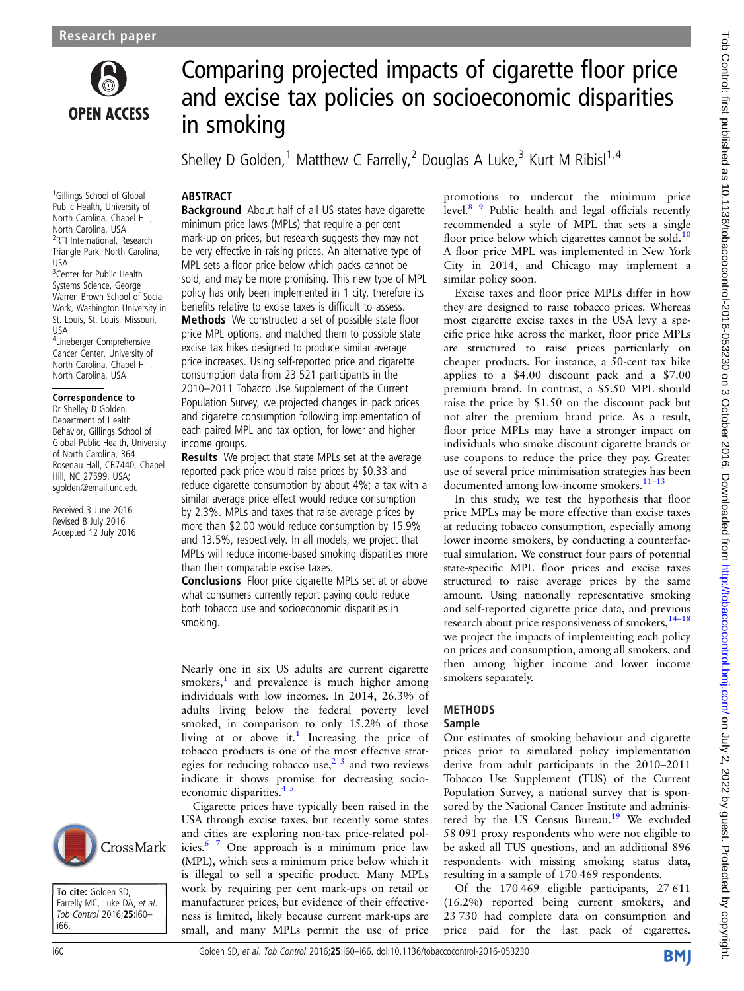

# Comparing projected impacts of cigarette floor price and excise tax policies on socioeconomic disparities in smoking

Shelley D Golden,<sup>1</sup> Matthew C Farrelly,<sup>2</sup> Douglas A Luke,<sup>3</sup> Kurt M Ribisl<sup>1,4</sup>

<sup>1</sup>Gillings School of Global Public Health, University of North Carolina, Chapel Hill, North Carolina, USA 2 RTI International, Research Triangle Park, North Carolina, USA

<sup>3</sup> Center for Public Health Systems Science, George Warren Brown School of Social Work, Washington University in St. Louis, St. Louis, Missouri, USA 4 Lineberger Comprehensive Cancer Center, University of North Carolina, Chapel Hill,

# North Carolina, USA

Correspondence to Dr Shelley D Golden, Department of Health Behavior, Gillings School of Global Public Health, University of North Carolina, 364 Rosenau Hall, CB7440, Chapel Hill, NC 27599, USA; sgolden@email.unc.edu

Received 3 June 2016 Revised 8 July 2016 Accepted 12 July 2016



To cite: Golden SD, Farrelly MC, Luke DA, et al. Tob Control 2016;25:i60– i66.

**ABSTRACT** Background About half of all US states have cigarette minimum price laws (MPLs) that require a per cent mark-up on prices, but research suggests they may not be very effective in raising prices. An alternative type of MPL sets a floor price below which packs cannot be sold, and may be more promising. This new type of MPL policy has only been implemented in 1 city, therefore its benefits relative to excise taxes is difficult to assess.

Methods We constructed a set of possible state floor price MPL options, and matched them to possible state excise tax hikes designed to produce similar average price increases. Using self-reported price and cigarette consumption data from 23 521 participants in the 2010–2011 Tobacco Use Supplement of the Current Population Survey, we projected changes in pack prices and cigarette consumption following implementation of each paired MPL and tax option, for lower and higher income groups.

Results We project that state MPLs set at the average reported pack price would raise prices by \$0.33 and reduce cigarette consumption by about 4%; a tax with a similar average price effect would reduce consumption by 2.3%. MPLs and taxes that raise average prices by more than \$2.00 would reduce consumption by 15.9% and 13.5%, respectively. In all models, we project that MPLs will reduce income-based smoking disparities more than their comparable excise taxes.

Conclusions Floor price cigarette MPLs set at or above what consumers currently report paying could reduce both tobacco use and socioeconomic disparities in smoking.

Nearly one in six US adults are current cigarette smokers, $<sup>1</sup>$  $<sup>1</sup>$  $<sup>1</sup>$  and prevalence is much higher among</sup> individuals with low incomes. In 2014, 26.3% of adults living below the federal poverty level smoked, in comparison to only 15.2% of those living at or above it.<sup>[1](#page-5-0)</sup> Increasing the price of tobacco products is one of the most effective strategies for reducing tobacco use,<sup>2 3</sup> and two reviews indicate it shows promise for decreasing socioeconomic disparities. $4^{5}$ 

Cigarette prices have typically been raised in the USA through excise taxes, but recently some states and cities are exploring non-tax price-related policies.[6 7](#page-6-0) One approach is a minimum price law (MPL), which sets a minimum price below which it is illegal to sell a specific product. Many MPLs work by requiring per cent mark-ups on retail or manufacturer prices, but evidence of their effectiveness is limited, likely because current mark-ups are small, and many MPLs permit the use of price

promotions to undercut the minimum price level.<sup>8</sup> <sup>9</sup> Public health and legal officials recently recommended a style of MPL that sets a single floor price below which cigarettes cannot be sold.<sup>[10](#page-6-0)</sup> A floor price MPL was implemented in New York City in 2014, and Chicago may implement a similar policy soon.

Excise taxes and floor price MPLs differ in how they are designed to raise tobacco prices. Whereas most cigarette excise taxes in the USA levy a specific price hike across the market, floor price MPLs are structured to raise prices particularly on cheaper products. For instance, a 50-cent tax hike applies to a \$4.00 discount pack and a \$7.00 premium brand. In contrast, a \$5.50 MPL should raise the price by \$1.50 on the discount pack but not alter the premium brand price. As a result, floor price MPLs may have a stronger impact on individuals who smoke discount cigarette brands or use coupons to reduce the price they pay. Greater use of several price minimisation strategies has been documented among low-income smokers.<sup>11-[13](#page-6-0)</sup>

In this study, we test the hypothesis that floor price MPLs may be more effective than excise taxes at reducing tobacco consumption, especially among lower income smokers, by conducting a counterfactual simulation. We construct four pairs of potential state-specific MPL floor prices and excise taxes structured to raise average prices by the same amount. Using nationally representative smoking and self-reported cigarette price data, and previous research about price responsiveness of smokers,  $14-18$  $14-18$ we project the impacts of implementing each policy on prices and consumption, among all smokers, and then among higher income and lower income smokers separately.

# METHODS

#### Sample

Our estimates of smoking behaviour and cigarette prices prior to simulated policy implementation derive from adult participants in the 2010–2011 Tobacco Use Supplement (TUS) of the Current Population Survey, a national survey that is sponsored by the National Cancer Institute and administered by the US Census Bureau.<sup>19</sup> We excluded 58 091 proxy respondents who were not eligible to be asked all TUS questions, and an additional 896 respondents with missing smoking status data, resulting in a sample of 170 469 respondents.

Of the 170 469 eligible participants, 27 611 (16.2%) reported being current smokers, and 23 730 had complete data on consumption and price paid for the last pack of cigarettes.

**BMI**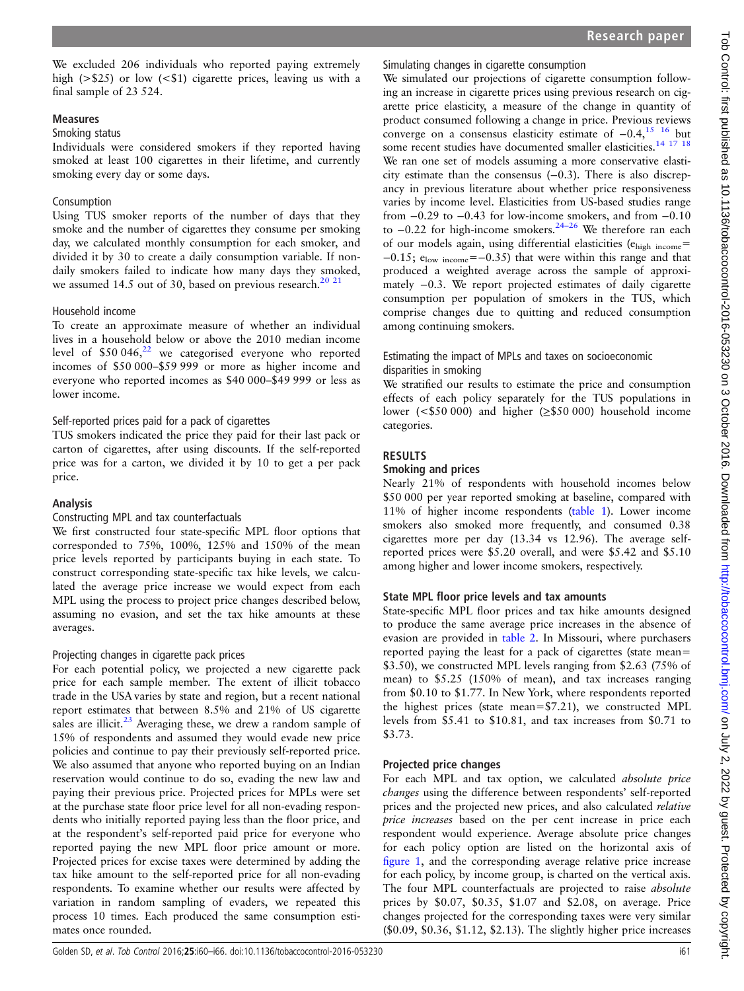We excluded 206 individuals who reported paying extremely high ( $> $25$ ) or low ( $< $1$ ) cigarette prices, leaving us with a final sample of 23 524.

### Measures

### Smoking status

Individuals were considered smokers if they reported having smoked at least 100 cigarettes in their lifetime, and currently smoking every day or some days.

#### Consumption

Using TUS smoker reports of the number of days that they smoke and the number of cigarettes they consume per smoking day, we calculated monthly consumption for each smoker, and divided it by 30 to create a daily consumption variable. If nondaily smokers failed to indicate how many days they smoked, we assumed 14.5 out of 30, based on previous research.<sup>20</sup> <sup>21</sup>

#### Household income

To create an approximate measure of whether an individual lives in a household below or above the 2010 median income level of  $$50,046$ ,<sup>[22](#page-6-0)</sup> we categorised everyone who reported incomes of \$50 000–\$59 999 or more as higher income and everyone who reported incomes as \$40 000–\$49 999 or less as lower income.

#### Self-reported prices paid for a pack of cigarettes

TUS smokers indicated the price they paid for their last pack or carton of cigarettes, after using discounts. If the self-reported price was for a carton, we divided it by 10 to get a per pack price.

#### Analysis

#### Constructing MPL and tax counterfactuals

We first constructed four state-specific MPL floor options that corresponded to 75%, 100%, 125% and 150% of the mean price levels reported by participants buying in each state. To construct corresponding state-specific tax hike levels, we calculated the average price increase we would expect from each MPL using the process to project price changes described below, assuming no evasion, and set the tax hike amounts at these averages.

#### Projecting changes in cigarette pack prices

For each potential policy, we projected a new cigarette pack price for each sample member. The extent of illicit tobacco trade in the USA varies by state and region, but a recent national report estimates that between 8.5% and 21% of US cigarette sales are illicit.<sup>[23](#page-6-0)</sup> Averaging these, we drew a random sample of 15% of respondents and assumed they would evade new price policies and continue to pay their previously self-reported price. We also assumed that anyone who reported buying on an Indian reservation would continue to do so, evading the new law and paying their previous price. Projected prices for MPLs were set at the purchase state floor price level for all non-evading respondents who initially reported paying less than the floor price, and at the respondent's self-reported paid price for everyone who reported paying the new MPL floor price amount or more. Projected prices for excise taxes were determined by adding the tax hike amount to the self-reported price for all non-evading respondents. To examine whether our results were affected by variation in random sampling of evaders, we repeated this process 10 times. Each produced the same consumption estimates once rounded.

## Simulating changes in cigarette consumption

We simulated our projections of cigarette consumption following an increase in cigarette prices using previous research on cigarette price elasticity, a measure of the change in quantity of product consumed following a change in price. Previous reviews converge on a consensus elasticity estimate of  $-0.4$ ,<sup>[15 16](#page-6-0)</sup> but some recent studies have documented smaller elasticities.<sup>14 17</sup> <sup>18</sup> We ran one set of models assuming a more conservative elasticity estimate than the consensus (−0.3). There is also discrepancy in previous literature about whether price responsiveness varies by income level. Elasticities from US-based studies range from −0.29 to −0.43 for low-income smokers, and from −0.10 to −0.22 for high-income smokers.<sup>24–[26](#page-6-0)</sup> We therefore ran each of our models again, using differential elasticities  $(e<sub>high income</sub>$  $-0.15$ ; e<sub>low income</sub>= $-0.35$ ) that were within this range and that produced a weighted average across the sample of approximately −0.3. We report projected estimates of daily cigarette consumption per population of smokers in the TUS, which comprise changes due to quitting and reduced consumption among continuing smokers.

#### Estimating the impact of MPLs and taxes on socioeconomic disparities in smoking

We stratified our results to estimate the price and consumption effects of each policy separately for the TUS populations in lower ( $\leq$ \$50 000) and higher ( $\geq$ \$50 000) household income categories.

## RESULTS

#### Smoking and prices

Nearly 21% of respondents with household incomes below \$50 000 per year reported smoking at baseline, compared with 11% of higher income respondents ([table 1](#page-2-0)). Lower income smokers also smoked more frequently, and consumed 0.38 cigarettes more per day (13.34 vs 12.96). The average selfreported prices were \$5.20 overall, and were \$5.42 and \$5.10 among higher and lower income smokers, respectively.

### State MPL floor price levels and tax amounts

State-specific MPL floor prices and tax hike amounts designed to produce the same average price increases in the absence of evasion are provided in [table 2.](#page-3-0) In Missouri, where purchasers reported paying the least for a pack of cigarettes (state mean= \$3.50), we constructed MPL levels ranging from \$2.63 (75% of mean) to \$5.25 (150% of mean), and tax increases ranging from \$0.10 to \$1.77. In New York, where respondents reported the highest prices (state mean=\$7.21), we constructed MPL levels from \$5.41 to \$10.81, and tax increases from \$0.71 to \$3.73.

### Projected price changes

For each MPL and tax option, we calculated absolute price changes using the difference between respondents' self-reported prices and the projected new prices, and also calculated relative price increases based on the per cent increase in price each respondent would experience. Average absolute price changes for each policy option are listed on the horizontal axis of fi[gure 1](#page-4-0), and the corresponding average relative price increase for each policy, by income group, is charted on the vertical axis. The four MPL counterfactuals are projected to raise absolute prices by \$0.07, \$0.35, \$1.07 and \$2.08, on average. Price changes projected for the corresponding taxes were very similar (\$0.09, \$0.36, \$1.12, \$2.13). The slightly higher price increases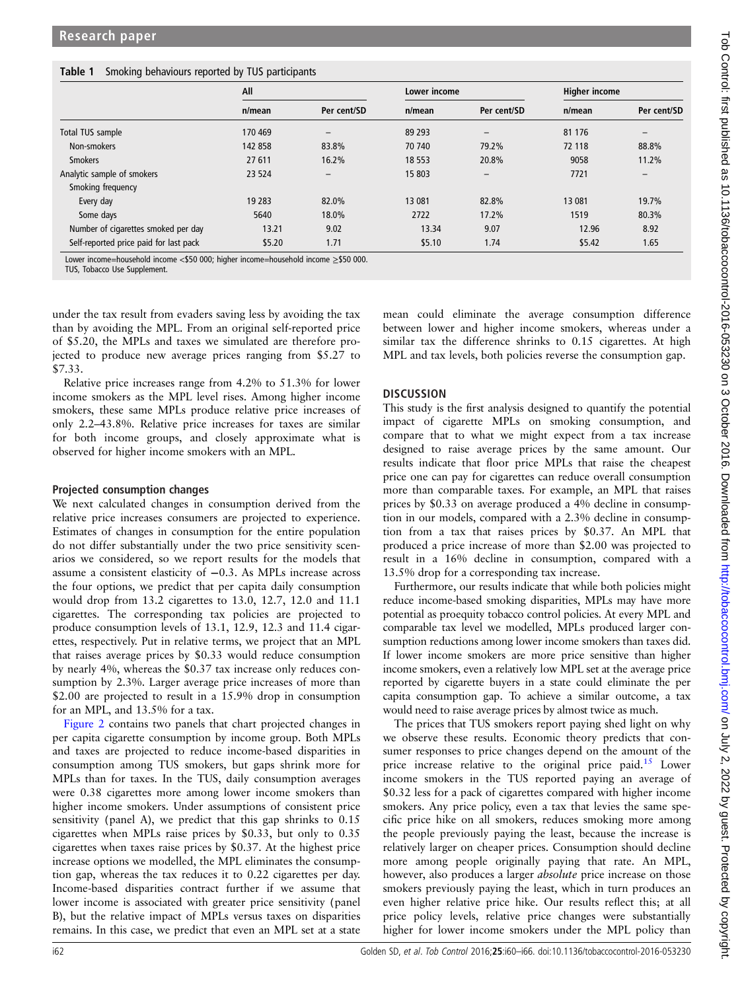#### <span id="page-2-0"></span>Table 1 Smoking behaviours reported by TUS participants

|                                        | All     |                          | Lower income |                              | <b>Higher income</b> |             |
|----------------------------------------|---------|--------------------------|--------------|------------------------------|----------------------|-------------|
|                                        | n/mean  | Per cent/SD              | n/mean       | Per cent/SD                  | n/mean               | Per cent/SD |
| Total TUS sample                       | 170 469 | —                        | 89 293       |                              | 81 1 7 6             |             |
| Non-smokers                            | 142 858 | 83.8%                    | 70 740       | 79.2%                        | 72 118               | 88.8%       |
| <b>Smokers</b>                         | 27 611  | 16.2%                    | 18 5 53      | 20.8%                        | 9058                 | 11.2%       |
| Analytic sample of smokers             | 23 5 24 | $\overline{\phantom{m}}$ | 15 803       | $\qquad \qquad \blacksquare$ | 7721                 | —           |
| Smoking frequency                      |         |                          |              |                              |                      |             |
| Every day                              | 19 283  | 82.0%                    | 13 081       | 82.8%                        | 13 081               | 19.7%       |
| Some days                              | 5640    | 18.0%                    | 2722         | 17.2%                        | 1519                 | 80.3%       |
| Number of cigarettes smoked per day    | 13.21   | 9.02                     | 13.34        | 9.07                         | 12.96                | 8.92        |
| Self-reported price paid for last pack | \$5.20  | 1.71                     | \$5.10       | 1.74                         | \$5.42               | 1.65        |

Lower income=household income <\$50 000; higher income=household income ≥\$50 000.

TUS, Tobacco Use Supplement.

under the tax result from evaders saving less by avoiding the tax than by avoiding the MPL. From an original self-reported price of \$5.20, the MPLs and taxes we simulated are therefore projected to produce new average prices ranging from \$5.27 to \$7.33.

Relative price increases range from 4.2% to 51.3% for lower income smokers as the MPL level rises. Among higher income smokers, these same MPLs produce relative price increases of only 2.2–43.8%. Relative price increases for taxes are similar for both income groups, and closely approximate what is observed for higher income smokers with an MPL.

#### Projected consumption changes

We next calculated changes in consumption derived from the relative price increases consumers are projected to experience. Estimates of changes in consumption for the entire population do not differ substantially under the two price sensitivity scenarios we considered, so we report results for the models that assume a consistent elasticity of −0.3. As MPLs increase across the four options, we predict that per capita daily consumption would drop from 13.2 cigarettes to 13.0, 12.7, 12.0 and 11.1 cigarettes. The corresponding tax policies are projected to produce consumption levels of 13.1, 12.9, 12.3 and 11.4 cigarettes, respectively. Put in relative terms, we project that an MPL that raises average prices by \$0.33 would reduce consumption by nearly 4%, whereas the \$0.37 tax increase only reduces consumption by 2.3%. Larger average price increases of more than \$2.00 are projected to result in a 15.9% drop in consumption for an MPL, and 13.5% for a tax.

[Figure 2](#page-5-0) contains two panels that chart projected changes in per capita cigarette consumption by income group. Both MPLs and taxes are projected to reduce income-based disparities in consumption among TUS smokers, but gaps shrink more for MPLs than for taxes. In the TUS, daily consumption averages were 0.38 cigarettes more among lower income smokers than higher income smokers. Under assumptions of consistent price sensitivity (panel A), we predict that this gap shrinks to 0.15 cigarettes when MPLs raise prices by \$0.33, but only to 0.35 cigarettes when taxes raise prices by \$0.37. At the highest price increase options we modelled, the MPL eliminates the consumption gap, whereas the tax reduces it to 0.22 cigarettes per day. Income-based disparities contract further if we assume that lower income is associated with greater price sensitivity (panel B), but the relative impact of MPLs versus taxes on disparities remains. In this case, we predict that even an MPL set at a state

mean could eliminate the average consumption difference between lower and higher income smokers, whereas under a similar tax the difference shrinks to 0.15 cigarettes. At high MPL and tax levels, both policies reverse the consumption gap.

# **DISCUSSION**

This study is the first analysis designed to quantify the potential impact of cigarette MPLs on smoking consumption, and compare that to what we might expect from a tax increase designed to raise average prices by the same amount. Our results indicate that floor price MPLs that raise the cheapest price one can pay for cigarettes can reduce overall consumption more than comparable taxes. For example, an MPL that raises prices by \$0.33 on average produced a 4% decline in consumption in our models, compared with a 2.3% decline in consumption from a tax that raises prices by \$0.37. An MPL that produced a price increase of more than \$2.00 was projected to result in a 16% decline in consumption, compared with a 13.5% drop for a corresponding tax increase.

Furthermore, our results indicate that while both policies might reduce income-based smoking disparities, MPLs may have more potential as proequity tobacco control policies. At every MPL and comparable tax level we modelled, MPLs produced larger consumption reductions among lower income smokers than taxes did. If lower income smokers are more price sensitive than higher income smokers, even a relatively low MPL set at the average price reported by cigarette buyers in a state could eliminate the per capita consumption gap. To achieve a similar outcome, a tax would need to raise average prices by almost twice as much.

The prices that TUS smokers report paying shed light on why we observe these results. Economic theory predicts that consumer responses to price changes depend on the amount of the price increase relative to the original price paid.<sup>[15](#page-6-0)</sup> Lower income smokers in the TUS reported paying an average of \$0.32 less for a pack of cigarettes compared with higher income smokers. Any price policy, even a tax that levies the same specific price hike on all smokers, reduces smoking more among the people previously paying the least, because the increase is relatively larger on cheaper prices. Consumption should decline more among people originally paying that rate. An MPL, however, also produces a larger *absolute* price increase on those smokers previously paying the least, which in turn produces an even higher relative price hike. Our results reflect this; at all price policy levels, relative price changes were substantially higher for lower income smokers under the MPL policy than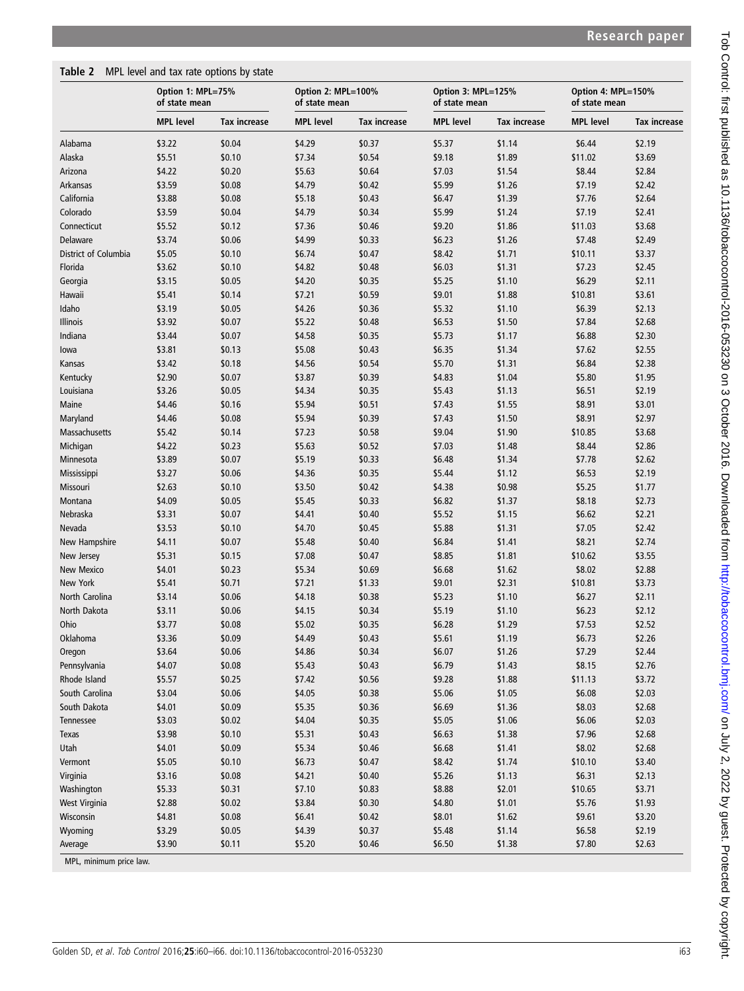# <span id="page-3-0"></span>Table 2 MPL level and tax rate options by state

|                      | Option 1: MPL=75%<br>of state mean |                     | <b>Option 2: MPL=100%</b><br>of state mean |                     | Option 3: MPL=125%<br>of state mean |                     | Option 4: MPL=150%<br>of state mean |                     |
|----------------------|------------------------------------|---------------------|--------------------------------------------|---------------------|-------------------------------------|---------------------|-------------------------------------|---------------------|
|                      | <b>MPL level</b>                   | <b>Tax increase</b> | <b>MPL level</b>                           | <b>Tax increase</b> | <b>MPL level</b>                    | <b>Tax increase</b> | <b>MPL level</b>                    | <b>Tax increase</b> |
| Alabama              | \$3.22                             | \$0.04              | \$4.29                                     | \$0.37              | \$5.37                              | \$1.14              | \$6.44                              | \$2.19              |
| Alaska               | \$5.51                             | \$0.10              | \$7.34                                     | \$0.54              | \$9.18                              | \$1.89              | \$11.02                             | \$3.69              |
| Arizona              | \$4.22                             | \$0.20              | \$5.63                                     | \$0.64              | \$7.03                              | \$1.54              | \$8.44                              | \$2.84              |
| Arkansas             | \$3.59                             | \$0.08              | \$4.79                                     | \$0.42              | \$5.99                              | \$1.26              | \$7.19                              | \$2.42              |
| California           | \$3.88                             | \$0.08              | \$5.18                                     | \$0.43              | \$6.47                              | \$1.39              | \$7.76                              | \$2.64              |
| Colorado             | \$3.59                             | \$0.04              | \$4.79                                     | \$0.34              | \$5.99                              | \$1.24              | \$7.19                              | \$2.41              |
| Connecticut          | \$5.52                             | \$0.12              | \$7.36                                     | \$0.46              | \$9.20                              | \$1.86              | \$11.03                             | \$3.68              |
| Delaware             | \$3.74                             | \$0.06              | \$4.99                                     | \$0.33              | \$6.23                              | \$1.26              | \$7.48                              | \$2.49              |
| District of Columbia | \$5.05                             | \$0.10              | \$6.74                                     | \$0.47              | \$8.42                              | \$1.71              | \$10.11                             | \$3.37              |
| Florida              | \$3.62                             | \$0.10              | \$4.82                                     | \$0.48              | \$6.03                              | \$1.31              | \$7.23                              | \$2.45              |
| Georgia              | \$3.15                             | \$0.05              | \$4.20                                     | \$0.35              | \$5.25                              | \$1.10              | \$6.29                              | \$2.11              |
| Hawaii               | \$5.41                             | \$0.14              | \$7.21                                     | \$0.59              | \$9.01                              | \$1.88              | \$10.81                             | \$3.61              |
| Idaho                | \$3.19                             | \$0.05              | \$4.26                                     | \$0.36              | \$5.32                              | \$1.10              | \$6.39                              | \$2.13              |
| Illinois             | \$3.92                             | \$0.07              | \$5.22                                     | \$0.48              | \$6.53                              | \$1.50              | \$7.84                              | \$2.68              |
| Indiana              | \$3.44                             | \$0.07              | \$4.58                                     | \$0.35              | \$5.73                              | \$1.17              | \$6.88                              | \$2.30              |
| lowa                 | \$3.81                             | \$0.13              | \$5.08                                     | \$0.43              | \$6.35                              | \$1.34              | \$7.62                              | \$2.55              |
| Kansas               | \$3.42                             | \$0.18              | \$4.56                                     | \$0.54              | \$5.70                              | \$1.31              | \$6.84                              | \$2.38              |
| Kentucky             | \$2.90                             | \$0.07              | \$3.87                                     | \$0.39              | \$4.83                              | \$1.04              | \$5.80                              | \$1.95              |
| Louisiana            | \$3.26                             | \$0.05              | \$4.34                                     | \$0.35              | \$5.43                              | \$1.13              | \$6.51                              | \$2.19              |
| Maine                | \$4.46                             | \$0.16              | \$5.94                                     | \$0.51              | \$7.43                              | \$1.55              | \$8.91                              | \$3.01              |
| Maryland             | \$4.46                             | \$0.08              | \$5.94                                     | \$0.39              | \$7.43                              | \$1.50              | \$8.91                              | \$2.97              |
| Massachusetts        | \$5.42                             | \$0.14              | \$7.23                                     | \$0.58              | \$9.04                              | \$1.90              | \$10.85                             | \$3.68              |
| Michigan             | \$4.22                             | \$0.23              | \$5.63                                     | \$0.52              | \$7.03                              | \$1.48              | \$8.44                              | \$2.86              |
| Minnesota            | \$3.89                             | \$0.07              | \$5.19                                     | \$0.33              | \$6.48                              | \$1.34              | \$7.78                              | \$2.62              |
| Mississippi          | \$3.27                             | \$0.06              | \$4.36                                     | \$0.35              | \$5.44                              | \$1.12              | \$6.53                              | \$2.19              |
| Missouri             | \$2.63                             | \$0.10              | \$3.50                                     | \$0.42              | \$4.38                              | \$0.98              | \$5.25                              | \$1.77              |
| Montana              | \$4.09                             | \$0.05              | \$5.45                                     | \$0.33              | \$6.82                              | \$1.37              | \$8.18                              | \$2.73              |
| Nebraska             | \$3.31                             | \$0.07              | \$4.41                                     | \$0.40              | \$5.52                              | \$1.15              | \$6.62                              | \$2.21              |
| Nevada               | \$3.53                             | \$0.10              | \$4.70                                     | \$0.45              | \$5.88                              | \$1.31              | \$7.05                              | \$2.42              |
| New Hampshire        | \$4.11                             | \$0.07              | \$5.48                                     | \$0.40              | \$6.84                              | \$1.41              | \$8.21                              | \$2.74              |
| New Jersey           | \$5.31                             | \$0.15              | \$7.08                                     | \$0.47              | \$8.85                              | \$1.81              | \$10.62                             | \$3.55              |
| New Mexico           | \$4.01                             | \$0.23              | \$5.34                                     | \$0.69              | \$6.68                              | \$1.62              | \$8.02                              | \$2.88              |
| New York             | \$5.41                             | \$0.71              | \$7.21                                     | \$1.33              | \$9.01                              | \$2.31              | \$10.81                             | \$3.73              |
| North Carolina       | \$3.14                             | \$0.06              | \$4.18                                     | \$0.38              | \$5.23                              | \$1.10              | \$6.27                              | \$2.11              |
| North Dakota         | \$3.11                             | \$0.06              | \$4.15                                     | \$0.34              | \$5.19                              | \$1.10              | \$6.23                              | \$2.12              |
| Ohio                 | \$3.77                             | \$0.08              | \$5.02                                     | \$0.35              | \$6.28                              | \$1.29              | \$7.53                              | \$2.52              |
| Oklahoma             | \$3.36                             | \$0.09              | \$4.49                                     | \$0.43              | \$5.61                              | \$1.19              | \$6.73                              | \$2.26              |
| Oregon               | \$3.64                             | \$0.06              | \$4.86                                     | \$0.34              | \$6.07                              | \$1.26              | \$7.29                              | \$2.44              |
| Pennsylvania         | \$4.07                             | \$0.08              | \$5.43                                     | \$0.43              | \$6.79                              | \$1.43              | \$8.15                              | \$2.76              |
| Rhode Island         | \$5.57                             | \$0.25              | \$7.42                                     | \$0.56              | \$9.28                              | \$1.88              | \$11.13                             | \$3.72              |
| South Carolina       | \$3.04                             | \$0.06              | \$4.05                                     | \$0.38              | \$5.06                              | \$1.05              | \$6.08                              | \$2.03              |
| South Dakota         | \$4.01                             | \$0.09              | \$5.35                                     | \$0.36              | \$6.69                              | \$1.36              | \$8.03                              | \$2.68              |
| Tennessee            | \$3.03                             | \$0.02              | \$4.04                                     | \$0.35              | \$5.05                              | \$1.06              | \$6.06                              | \$2.03              |
| Texas                | \$3.98                             | \$0.10              | \$5.31                                     | \$0.43              | \$6.63                              | \$1.38              | \$7.96                              | \$2.68              |
| Utah                 | \$4.01                             | \$0.09              | \$5.34                                     | \$0.46              | \$6.68                              | \$1.41              | \$8.02                              | \$2.68              |
| Vermont              | \$5.05                             | \$0.10              | \$6.73                                     | \$0.47              | \$8.42                              | \$1.74              | \$10.10                             | \$3.40              |
| Virginia             | \$3.16                             | \$0.08              | \$4.21                                     | \$0.40              | \$5.26                              | \$1.13              | \$6.31                              | \$2.13              |
| Washington           | \$5.33                             | \$0.31              | \$7.10                                     | \$0.83              | \$8.88                              | \$2.01              | \$10.65                             | \$3.71              |
| West Virginia        | \$2.88                             | \$0.02              | \$3.84                                     | \$0.30              | \$4.80                              | \$1.01              | \$5.76                              | \$1.93              |
| Wisconsin            | \$4.81                             | \$0.08              | \$6.41                                     | \$0.42              | \$8.01                              | \$1.62              | \$9.61                              | \$3.20              |
| Wyoming              | \$3.29                             | \$0.05              | \$4.39                                     | \$0.37              | \$5.48                              | \$1.14              | \$6.58                              | \$2.19              |
| Average              | \$3.90                             | \$0.11              | \$5.20                                     | \$0.46              | \$6.50                              | \$1.38              | \$7.80                              | \$2.63              |

MPL, minimum price law.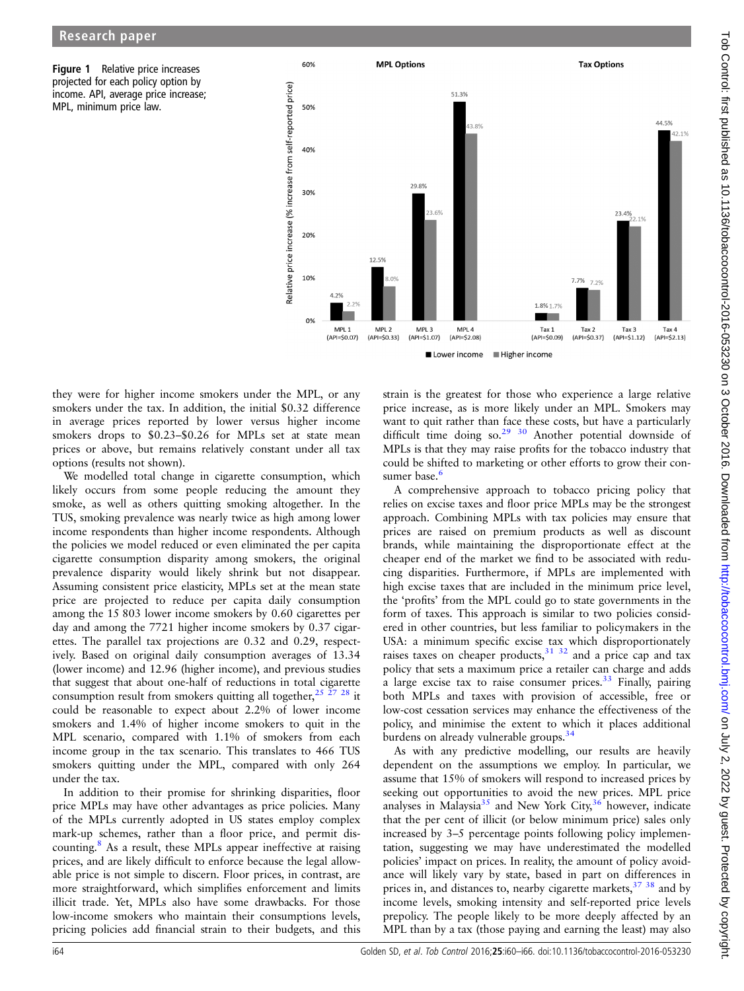<span id="page-4-0"></span>Figure 1 Relative price increases projected for each policy option by income. API, average price increase; MPL, minimum price law.



they were for higher income smokers under the MPL, or any smokers under the tax. In addition, the initial \$0.32 difference in average prices reported by lower versus higher income smokers drops to \$0.23–\$0.26 for MPLs set at state mean prices or above, but remains relatively constant under all tax options (results not shown).

We modelled total change in cigarette consumption, which likely occurs from some people reducing the amount they smoke, as well as others quitting smoking altogether. In the TUS, smoking prevalence was nearly twice as high among lower income respondents than higher income respondents. Although the policies we model reduced or even eliminated the per capita cigarette consumption disparity among smokers, the original prevalence disparity would likely shrink but not disappear. Assuming consistent price elasticity, MPLs set at the mean state price are projected to reduce per capita daily consumption among the 15 803 lower income smokers by 0.60 cigarettes per day and among the 7721 higher income smokers by 0.37 cigarettes. The parallel tax projections are 0.32 and 0.29, respectively. Based on original daily consumption averages of 13.34 (lower income) and 12.96 (higher income), and previous studies that suggest that about one-half of reductions in total cigarette consumption result from smokers quitting all together,<sup>25</sup>  $\frac{27}{27}$  28 it could be reasonable to expect about 2.2% of lower income smokers and 1.4% of higher income smokers to quit in the MPL scenario, compared with 1.1% of smokers from each income group in the tax scenario. This translates to 466 TUS smokers quitting under the MPL, compared with only 264 under the tax.

In addition to their promise for shrinking disparities, floor price MPLs may have other advantages as price policies. Many of the MPLs currently adopted in US states employ complex mark-up schemes, rather than a floor price, and permit dis-counting.<sup>[8](#page-6-0)</sup> As a result, these MPLs appear ineffective at raising prices, and are likely difficult to enforce because the legal allowable price is not simple to discern. Floor prices, in contrast, are more straightforward, which simplifies enforcement and limits illicit trade. Yet, MPLs also have some drawbacks. For those low-income smokers who maintain their consumptions levels, pricing policies add financial strain to their budgets, and this

strain is the greatest for those who experience a large relative price increase, as is more likely under an MPL. Smokers may want to quit rather than face these costs, but have a particularly difficult time doing so.<sup>29</sup> 30 Another potential downside of MPLs is that they may raise profits for the tobacco industry that could be shifted to marketing or other efforts to grow their con-sumer base.<sup>[6](#page-6-0)</sup>

A comprehensive approach to tobacco pricing policy that relies on excise taxes and floor price MPLs may be the strongest approach. Combining MPLs with tax policies may ensure that prices are raised on premium products as well as discount brands, while maintaining the disproportionate effect at the cheaper end of the market we find to be associated with reducing disparities. Furthermore, if MPLs are implemented with high excise taxes that are included in the minimum price level, the 'profits' from the MPL could go to state governments in the form of taxes. This approach is similar to two policies considered in other countries, but less familiar to policymakers in the USA: a minimum specific excise tax which disproportionately raises taxes on cheaper products, $3^{13}$  and a price cap and tax policy that sets a maximum price a retailer can charge and adds a large excise tax to raise consumer prices. $33$  Finally, pairing both MPLs and taxes with provision of accessible, free or low-cost cessation services may enhance the effectiveness of the policy, and minimise the extent to which it places additional burdens on already vulnerable groups.<sup>[34](#page-6-0)</sup>

As with any predictive modelling, our results are heavily dependent on the assumptions we employ. In particular, we assume that 15% of smokers will respond to increased prices by seeking out opportunities to avoid the new prices. MPL price analyses in Malaysia<sup>35</sup> and New York City,<sup>[36](#page-6-0)</sup> however, indicate that the per cent of illicit (or below minimum price) sales only increased by 3–5 percentage points following policy implementation, suggesting we may have underestimated the modelled policies' impact on prices. In reality, the amount of policy avoidance will likely vary by state, based in part on differences in prices in, and distances to, nearby cigarette markets, $3738$  and by income levels, smoking intensity and self-reported price levels prepolicy. The people likely to be more deeply affected by an MPL than by a tax (those paying and earning the least) may also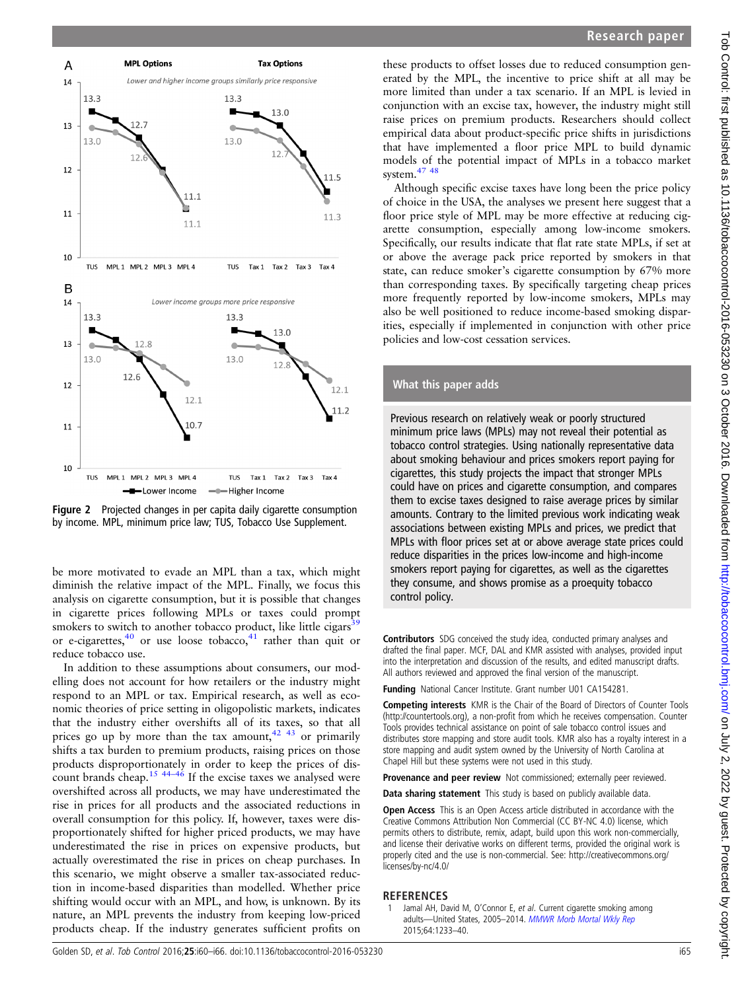<span id="page-5-0"></span>

Figure 2 Projected changes in per capita daily cigarette consumption by income. MPL, minimum price law; TUS, Tobacco Use Supplement.

be more motivated to evade an MPL than a tax, which might diminish the relative impact of the MPL. Finally, we focus this analysis on cigarette consumption, but it is possible that changes in cigarette prices following MPLs or taxes could prompt smokers to switch to another tobacco product, like little cigars $3<sup>3</sup>$ or e-cigarettes,  $40$  or use loose tobacco,  $41$  rather than quit or reduce tobacco use.

In addition to these assumptions about consumers, our modelling does not account for how retailers or the industry might respond to an MPL or tax. Empirical research, as well as economic theories of price setting in oligopolistic markets, indicates that the industry either overshifts all of its taxes, so that all prices go up by more than the tax amount,  $42 \frac{43}{13}$  or primarily shifts a tax burden to premium products, raising prices on those products disproportionately in order to keep the prices of dis-count brands cheap.<sup>[15](#page-6-0) 44–[46](#page-6-0)</sup> If the excise taxes we analysed were overshifted across all products, we may have underestimated the rise in prices for all products and the associated reductions in overall consumption for this policy. If, however, taxes were disproportionately shifted for higher priced products, we may have underestimated the rise in prices on expensive products, but actually overestimated the rise in prices on cheap purchases. In this scenario, we might observe a smaller tax-associated reduction in income-based disparities than modelled. Whether price shifting would occur with an MPL, and how, is unknown. By its nature, an MPL prevents the industry from keeping low-priced products cheap. If the industry generates sufficient profits on

these products to offset losses due to reduced consumption generated by the MPL, the incentive to price shift at all may be more limited than under a tax scenario. If an MPL is levied in conjunction with an excise tax, however, the industry might still raise prices on premium products. Researchers should collect empirical data about product-specific price shifts in jurisdictions that have implemented a floor price MPL to build dynamic models of the potential impact of MPLs in a tobacco market system.<sup>47</sup> <sup>48</sup>

Although specific excise taxes have long been the price policy of choice in the USA, the analyses we present here suggest that a floor price style of MPL may be more effective at reducing cigarette consumption, especially among low-income smokers. Specifically, our results indicate that flat rate state MPLs, if set at or above the average pack price reported by smokers in that state, can reduce smoker's cigarette consumption by 67% more than corresponding taxes. By specifically targeting cheap prices more frequently reported by low-income smokers, MPLs may also be well positioned to reduce income-based smoking disparities, especially if implemented in conjunction with other price policies and low-cost cessation services.

#### What this paper adds

Previous research on relatively weak or poorly structured minimum price laws (MPLs) may not reveal their potential as tobacco control strategies. Using nationally representative data about smoking behaviour and prices smokers report paying for cigarettes, this study projects the impact that stronger MPLs could have on prices and cigarette consumption, and compares them to excise taxes designed to raise average prices by similar amounts. Contrary to the limited previous work indicating weak associations between existing MPLs and prices, we predict that MPLs with floor prices set at or above average state prices could reduce disparities in the prices low-income and high-income smokers report paying for cigarettes, as well as the cigarettes they consume, and shows promise as a proequity tobacco control policy.

Contributors SDG conceived the study idea, conducted primary analyses and drafted the final paper. MCF, DAL and KMR assisted with analyses, provided input into the interpretation and discussion of the results, and edited manuscript drafts. All authors reviewed and approved the final version of the manuscript.

Funding National Cancer Institute. Grant number U01 CA154281.

Competing interests KMR is the Chair of the Board of Directors of Counter Tools (<http://countertools.org>), a non-profit from which he receives compensation. Counter Tools provides technical assistance on point of sale tobacco control issues and distributes store mapping and store audit tools. KMR also has a royalty interest in a store mapping and audit system owned by the University of North Carolina at Chapel Hill but these systems were not used in this study.

Provenance and peer review Not commissioned; externally peer reviewed.

Data sharing statement This study is based on publicly available data.

Open Access This is an Open Access article distributed in accordance with the Creative Commons Attribution Non Commercial (CC BY-NC 4.0) license, which permits others to distribute, remix, adapt, build upon this work non-commercially, and license their derivative works on different terms, provided the original work is properly cited and the use is non-commercial. See: [http://creativecommons.org/](http://creativecommons.org/licenses/by-nc/4.0/) [licenses/by-nc/4.0/](http://creativecommons.org/licenses/by-nc/4.0/)

#### REFERENCES

Jamal AH, David M, O'Connor E, et al. Current cigarette smoking among adults-United States, 2005-2014. [MMWR Morb Mortal Wkly Rep](http://dx.doi.org/10.15585/mmwr.mm6444a2) 2015;64:1233–40.